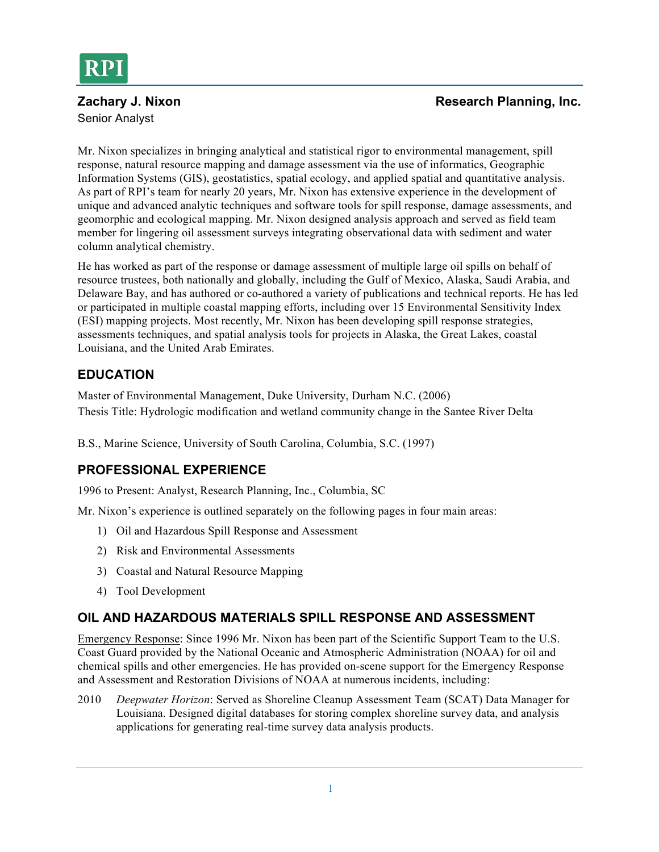

# Senior Analyst

#### **Zachary J. Nixon Research Planning, Inc. Research Planning, Inc. Research Planning, Inc.**

Mr. Nixon specializes in bringing analytical and statistical rigor to environmental management, spill response, natural resource mapping and damage assessment via the use of informatics, Geographic Information Systems (GIS), geostatistics, spatial ecology, and applied spatial and quantitative analysis. As part of RPI's team for nearly 20 years, Mr. Nixon has extensive experience in the development of unique and advanced analytic techniques and software tools for spill response, damage assessments, and geomorphic and ecological mapping. Mr. Nixon designed analysis approach and served as field team member for lingering oil assessment surveys integrating observational data with sediment and water column analytical chemistry.

He has worked as part of the response or damage assessment of multiple large oil spills on behalf of resource trustees, both nationally and globally, including the Gulf of Mexico, Alaska, Saudi Arabia, and Delaware Bay, and has authored or co-authored a variety of publications and technical reports. He has led or participated in multiple coastal mapping efforts, including over 15 Environmental Sensitivity Index (ESI) mapping projects. Most recently, Mr. Nixon has been developing spill response strategies, assessments techniques, and spatial analysis tools for projects in Alaska, the Great Lakes, coastal Louisiana, and the United Arab Emirates.

#### **EDUCATION**

Master of Environmental Management, Duke University, Durham N.C. (2006) Thesis Title: Hydrologic modification and wetland community change in the Santee River Delta

B.S., Marine Science, University of South Carolina, Columbia, S.C. (1997)

#### **PROFESSIONAL EXPERIENCE**

1996 to Present: Analyst, Research Planning, Inc., Columbia, SC

Mr. Nixon's experience is outlined separately on the following pages in four main areas:

- 1) Oil and Hazardous Spill Response and Assessment
- 2) Risk and Environmental Assessments
- 3) Coastal and Natural Resource Mapping
- 4) Tool Development

#### **OIL AND HAZARDOUS MATERIALS SPILL RESPONSE AND ASSESSMENT**

Emergency Response: Since 1996 Mr. Nixon has been part of the Scientific Support Team to the U.S. Coast Guard provided by the National Oceanic and Atmospheric Administration (NOAA) for oil and chemical spills and other emergencies. He has provided on-scene support for the Emergency Response and Assessment and Restoration Divisions of NOAA at numerous incidents, including:

2010 *Deepwater Horizon*: Served as Shoreline Cleanup Assessment Team (SCAT) Data Manager for Louisiana. Designed digital databases for storing complex shoreline survey data, and analysis applications for generating real-time survey data analysis products.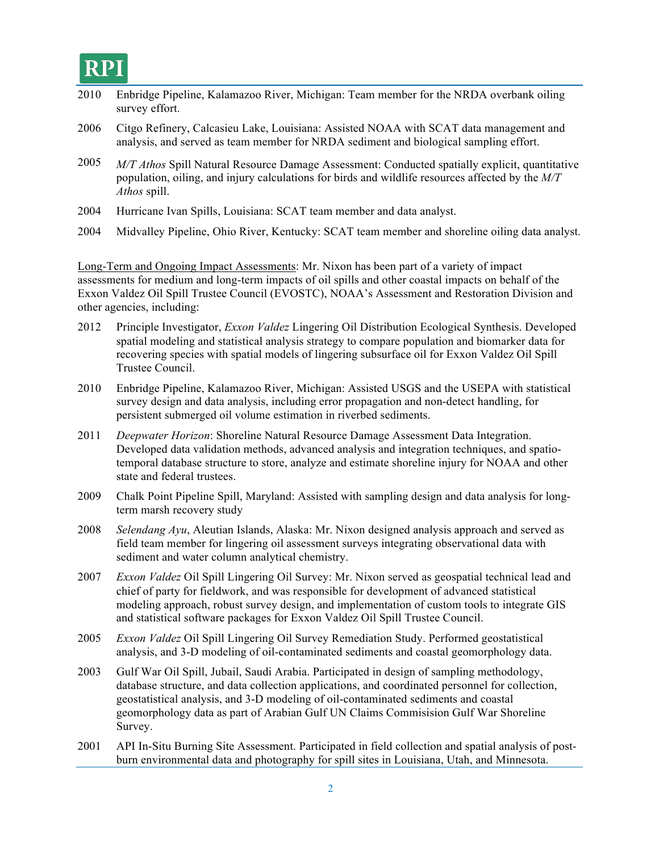## RPI

| $  -$ |                                                                                                                                                                                                                                                                                                                                                                              |
|-------|------------------------------------------------------------------------------------------------------------------------------------------------------------------------------------------------------------------------------------------------------------------------------------------------------------------------------------------------------------------------------|
| 2010  | Enbridge Pipeline, Kalamazoo River, Michigan: Team member for the NRDA overbank oiling<br>survey effort.                                                                                                                                                                                                                                                                     |
| 2006  | Citgo Refinery, Calcasieu Lake, Louisiana: Assisted NOAA with SCAT data management and<br>analysis, and served as team member for NRDA sediment and biological sampling effort.                                                                                                                                                                                              |
| 2005  | M/T Athos Spill Natural Resource Damage Assessment: Conducted spatially explicit, quantitative<br>population, oiling, and injury calculations for birds and wildlife resources affected by the M/T<br>Athos spill.                                                                                                                                                           |
| 2004  | Hurricane Ivan Spills, Louisiana: SCAT team member and data analyst.                                                                                                                                                                                                                                                                                                         |
| 2004  | Midvalley Pipeline, Ohio River, Kentucky: SCAT team member and shoreline oiling data analyst.                                                                                                                                                                                                                                                                                |
|       | Long-Term and Ongoing Impact Assessments: Mr. Nixon has been part of a variety of impact<br>assessments for medium and long-term impacts of oil spills and other coastal impacts on behalf of the<br>Exxon Valdez Oil Spill Trustee Council (EVOSTC), NOAA's Assessment and Restoration Division and<br>other agencies, including:                                           |
| 2012  | Principle Investigator, Exxon Valdez Lingering Oil Distribution Ecological Synthesis. Developed<br>spatial modeling and statistical analysis strategy to compare population and biomarker data for<br>recovering species with spatial models of lingering subsurface oil for Exxon Valdez Oil Spill<br>Trustee Council.                                                      |
| 2010  | Enbridge Pipeline, Kalamazoo River, Michigan: Assisted USGS and the USEPA with statistical<br>survey design and data analysis, including error propagation and non-detect handling, for<br>persistent submerged oil volume estimation in riverbed sediments.                                                                                                                 |
| 2011  | Deepwater Horizon: Shoreline Natural Resource Damage Assessment Data Integration.<br>Developed data validation methods, advanced analysis and integration techniques, and spatio-<br>temporal database structure to store, analyze and estimate shoreline injury for NOAA and other<br>state and federal trustees.                                                           |
| 2009  | Chalk Point Pipeline Spill, Maryland: Assisted with sampling design and data analysis for long-<br>term marsh recovery study                                                                                                                                                                                                                                                 |
| 2008  | Selendang Ayu, Aleutian Islands, Alaska: Mr. Nixon designed analysis approach and served as<br>field team member for lingering oil assessment surveys integrating observational data with<br>sediment and water column analytical chemistry.                                                                                                                                 |
| 2007  | Exxon Valdez Oil Spill Lingering Oil Survey: Mr. Nixon served as geospatial technical lead and<br>chief of party for fieldwork, and was responsible for development of advanced statistical<br>modeling approach, robust survey design, and implementation of custom tools to integrate GIS<br>and statistical software packages for Exxon Valdez Oil Spill Trustee Council. |
| 2005  | Exxon Valdez Oil Spill Lingering Oil Survey Remediation Study. Performed geostatistical<br>analysis, and 3-D modeling of oil-contaminated sediments and coastal geomorphology data.                                                                                                                                                                                          |
| 2003  | Gulf War Oil Spill, Jubail, Saudi Arabia. Participated in design of sampling methodology,                                                                                                                                                                                                                                                                                    |

- database structure, and data collection applications, and coordinated personnel for collection, geostatistical analysis, and 3-D modeling of oil-contaminated sediments and coastal geomorphology data as part of Arabian Gulf UN Claims Commisision Gulf War Shoreline Survey.
- 2001 API In-Situ Burning Site Assessment. Participated in field collection and spatial analysis of postburn environmental data and photography for spill sites in Louisiana, Utah, and Minnesota.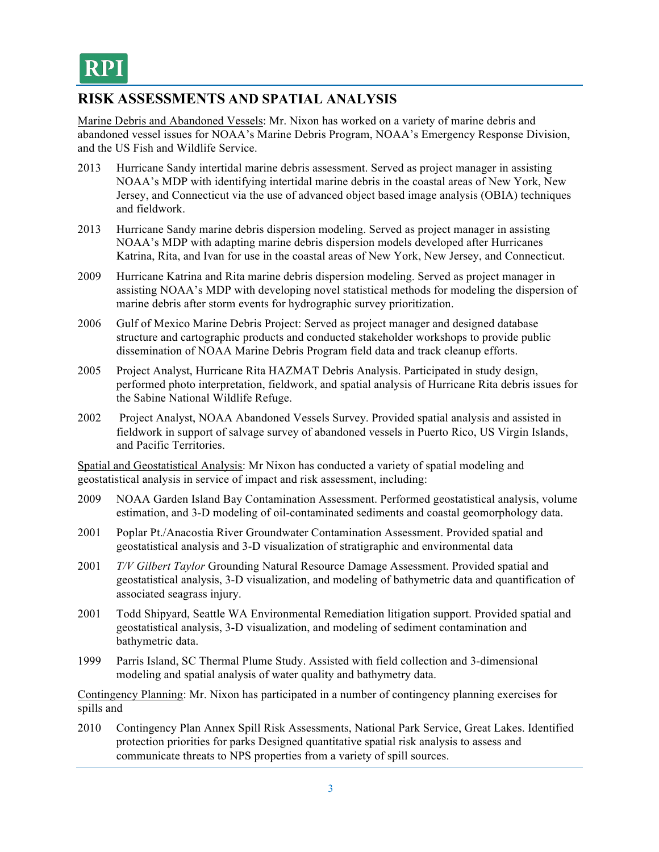### **RISK ASSESSMENTS AND SPATIAL ANALYSIS**

Marine Debris and Abandoned Vessels: Mr. Nixon has worked on a variety of marine debris and abandoned vessel issues for NOAA's Marine Debris Program, NOAA's Emergency Response Division, and the US Fish and Wildlife Service.

- 2013 Hurricane Sandy intertidal marine debris assessment. Served as project manager in assisting NOAA's MDP with identifying intertidal marine debris in the coastal areas of New York, New Jersey, and Connecticut via the use of advanced object based image analysis (OBIA) techniques and fieldwork.
- 2013 Hurricane Sandy marine debris dispersion modeling. Served as project manager in assisting NOAA's MDP with adapting marine debris dispersion models developed after Hurricanes Katrina, Rita, and Ivan for use in the coastal areas of New York, New Jersey, and Connecticut.
- 2009 Hurricane Katrina and Rita marine debris dispersion modeling. Served as project manager in assisting NOAA's MDP with developing novel statistical methods for modeling the dispersion of marine debris after storm events for hydrographic survey prioritization.
- 2006 Gulf of Mexico Marine Debris Project: Served as project manager and designed database structure and cartographic products and conducted stakeholder workshops to provide public dissemination of NOAA Marine Debris Program field data and track cleanup efforts.
- 2005 Project Analyst, Hurricane Rita HAZMAT Debris Analysis. Participated in study design, performed photo interpretation, fieldwork, and spatial analysis of Hurricane Rita debris issues for the Sabine National Wildlife Refuge.
- 2002 Project Analyst, NOAA Abandoned Vessels Survey. Provided spatial analysis and assisted in fieldwork in support of salvage survey of abandoned vessels in Puerto Rico, US Virgin Islands, and Pacific Territories.

Spatial and Geostatistical Analysis: Mr Nixon has conducted a variety of spatial modeling and geostatistical analysis in service of impact and risk assessment, including:

- 2009 NOAA Garden Island Bay Contamination Assessment. Performed geostatistical analysis, volume estimation, and 3-D modeling of oil-contaminated sediments and coastal geomorphology data.
- 2001 Poplar Pt./Anacostia River Groundwater Contamination Assessment. Provided spatial and geostatistical analysis and 3-D visualization of stratigraphic and environmental data
- 2001 *T/V Gilbert Taylor* Grounding Natural Resource Damage Assessment. Provided spatial and geostatistical analysis, 3-D visualization, and modeling of bathymetric data and quantification of associated seagrass injury.
- 2001 Todd Shipyard, Seattle WA Environmental Remediation litigation support. Provided spatial and geostatistical analysis, 3-D visualization, and modeling of sediment contamination and bathymetric data.
- 1999 Parris Island, SC Thermal Plume Study. Assisted with field collection and 3-dimensional modeling and spatial analysis of water quality and bathymetry data.

Contingency Planning: Mr. Nixon has participated in a number of contingency planning exercises for spills and

2010 Contingency Plan Annex Spill Risk Assessments, National Park Service, Great Lakes. Identified protection priorities for parks Designed quantitative spatial risk analysis to assess and communicate threats to NPS properties from a variety of spill sources.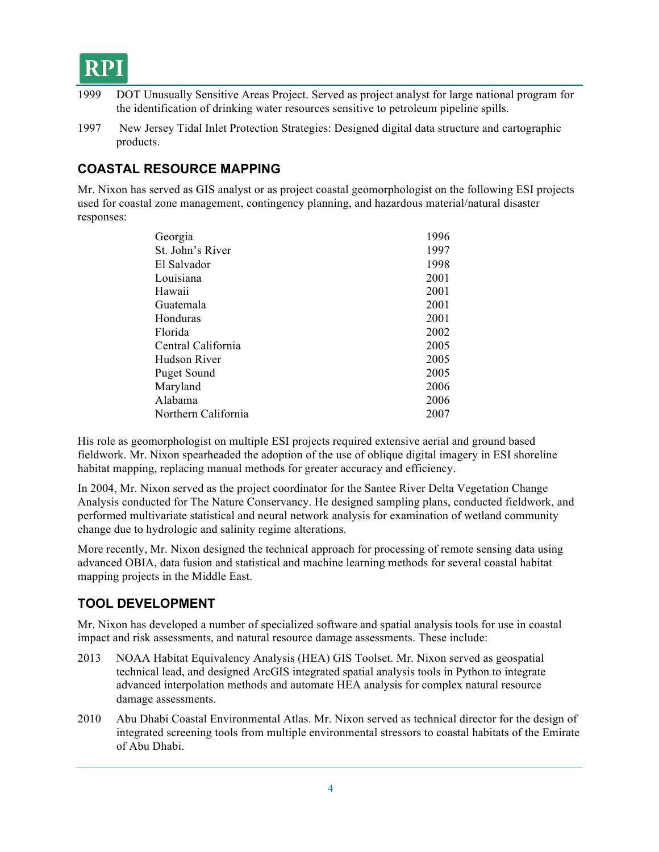- 1999 DOT Unusually Sensitive Areas Project. Served as project analyst for large national program for the identification of drinking water resources sensitive to petroleum pipeline spills.
- 1997 New Jersey Tidal Inlet Protection Strategies: Designed digital data structure and cartographic products.

#### **COASTAL RESOURCE MAPPING**

Mr. Nixon has served as GIS analyst or as project coastal geomorphologist on the following ESI projects used for coastal zone management, contingency planning, and hazardous material/natural disaster responses:

| 1996 |
|------|
| 1997 |
| 1998 |
| 2001 |
| 2001 |
| 2001 |
| 2001 |
| 2002 |
| 2005 |
| 2005 |
| 2005 |
| 2006 |
| 2006 |
| 2007 |
|      |

His role as geomorphologist on multiple ESI projects required extensive aerial and ground based fieldwork. Mr. Nixon spearheaded the adoption of the use of oblique digital imagery in ESI shoreline habitat mapping, replacing manual methods for greater accuracy and efficiency.

In 2004, Mr. Nixon served as the project coordinator for the Santee River Delta Vegetation Change Analysis conducted for The Nature Conservancy. He designed sampling plans, conducted fieldwork, and performed multivariate statistical and neural network analysis for examination of wetland community change due to hydrologic and salinity regime alterations.

More recently, Mr. Nixon designed the technical approach for processing of remote sensing data using advanced OBIA, data fusion and statistical and machine learning methods for several coastal habitat mapping projects in the Middle East.

#### **TOOL DEVELOPMENT**

Mr. Nixon has developed a number of specialized software and spatial analysis tools for use in coastal impact and risk assessments, and natural resource damage assessments. These include:

- 2013 NOAA Habitat Equivalency Analysis (HEA) GIS Toolset. Mr. Nixon served as geospatial technical lead, and designed ArcGIS integrated spatial analysis tools in Python to integrate advanced interpolation methods and automate HEA analysis for complex natural resource damage assessments.
- 2010 Abu Dhabi Coastal Environmental Atlas. Mr. Nixon served as technical director for the design of integrated screening tools from multiple environmental stressors to coastal habitats of the Emirate of Abu Dhabi.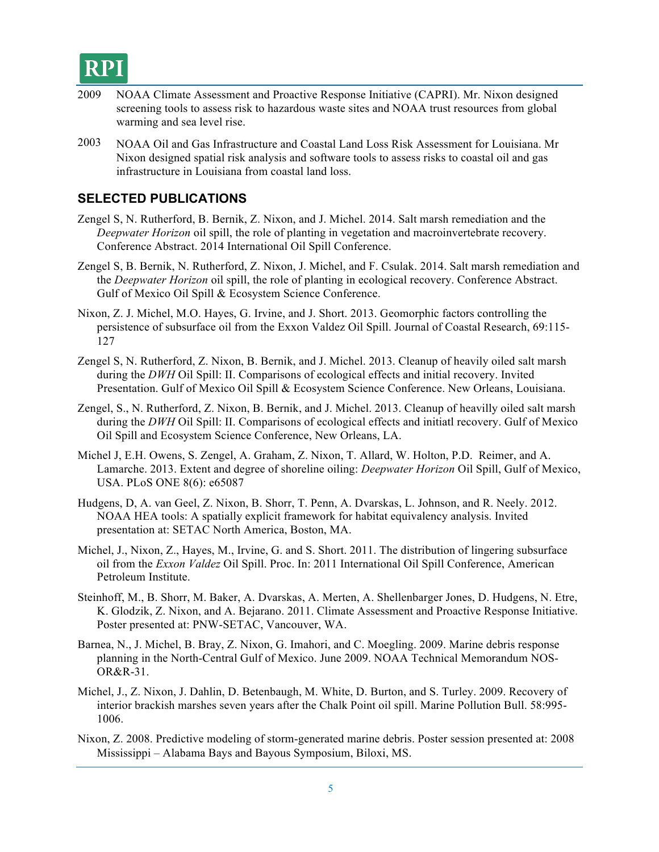

- 2009 NOAA Climate Assessment and Proactive Response Initiative (CAPRI). Mr. Nixon designed screening tools to assess risk to hazardous waste sites and NOAA trust resources from global warming and sea level rise.
- 2003 NOAA Oil and Gas Infrastructure and Coastal Land Loss Risk Assessment for Louisiana. Mr Nixon designed spatial risk analysis and software tools to assess risks to coastal oil and gas infrastructure in Louisiana from coastal land loss.

#### **SELECTED PUBLICATIONS**

- Zengel S, N. Rutherford, B. Bernik, Z. Nixon, and J. Michel. 2014. Salt marsh remediation and the *Deepwater Horizon* oil spill, the role of planting in vegetation and macroinvertebrate recovery. Conference Abstract. 2014 International Oil Spill Conference.
- Zengel S, B. Bernik, N. Rutherford, Z. Nixon, J. Michel, and F. Csulak. 2014. Salt marsh remediation and the *Deepwater Horizon* oil spill, the role of planting in ecological recovery. Conference Abstract. Gulf of Mexico Oil Spill & Ecosystem Science Conference.
- Nixon, Z. J. Michel, M.O. Hayes, G. Irvine, and J. Short. 2013. Geomorphic factors controlling the persistence of subsurface oil from the Exxon Valdez Oil Spill. Journal of Coastal Research, 69:115- 127
- Zengel S, N. Rutherford, Z. Nixon, B. Bernik, and J. Michel. 2013. Cleanup of heavily oiled salt marsh during the *DWH* Oil Spill: II. Comparisons of ecological effects and initial recovery. Invited Presentation. Gulf of Mexico Oil Spill & Ecosystem Science Conference. New Orleans, Louisiana.
- Zengel, S., N. Rutherford, Z. Nixon, B. Bernik, and J. Michel. 2013. Cleanup of heavilly oiled salt marsh during the *DWH* Oil Spill: II. Comparisons of ecological effects and initiatl recovery. Gulf of Mexico Oil Spill and Ecosystem Science Conference, New Orleans, LA.
- Michel J, E.H. Owens, S. Zengel, A. Graham, Z. Nixon, T. Allard, W. Holton, P.D. Reimer, and A. Lamarche. 2013. Extent and degree of shoreline oiling: *Deepwater Horizon* Oil Spill, Gulf of Mexico, USA. PLoS ONE 8(6): e65087
- Hudgens, D, A. van Geel, Z. Nixon, B. Shorr, T. Penn, A. Dvarskas, L. Johnson, and R. Neely. 2012. NOAA HEA tools: A spatially explicit framework for habitat equivalency analysis. Invited presentation at: SETAC North America, Boston, MA.
- Michel, J., Nixon, Z., Hayes, M., Irvine, G. and S. Short. 2011. The distribution of lingering subsurface oil from the *Exxon Valdez* Oil Spill. Proc. In: 2011 International Oil Spill Conference, American Petroleum Institute.
- Steinhoff, M., B. Shorr, M. Baker, A. Dvarskas, A. Merten, A. Shellenbarger Jones, D. Hudgens, N. Etre, K. Glodzik, Z. Nixon, and A. Bejarano. 2011. Climate Assessment and Proactive Response Initiative. Poster presented at: PNW-SETAC, Vancouver, WA.
- Barnea, N., J. Michel, B. Bray, Z. Nixon, G. Imahori, and C. Moegling. 2009. Marine debris response planning in the North-Central Gulf of Mexico. June 2009. NOAA Technical Memorandum NOS-OR&R-31.
- Michel, J., Z. Nixon, J. Dahlin, D. Betenbaugh, M. White, D. Burton, and S. Turley. 2009. Recovery of interior brackish marshes seven years after the Chalk Point oil spill. Marine Pollution Bull. 58:995- 1006.
- Nixon, Z. 2008. Predictive modeling of storm-generated marine debris. Poster session presented at: 2008 Mississippi – Alabama Bays and Bayous Symposium, Biloxi, MS.